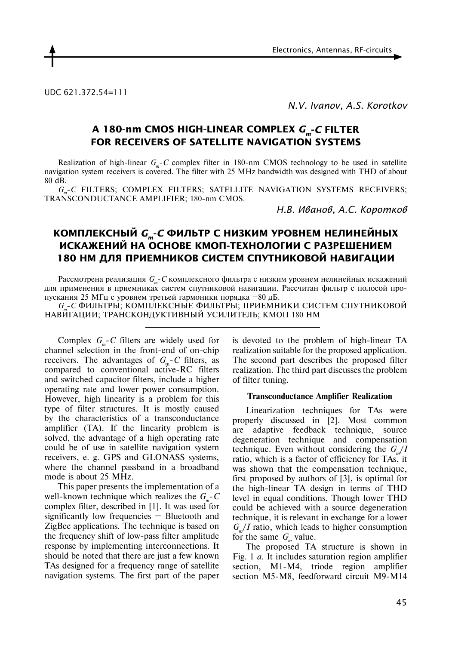

UDC 621.372.54=111

*N.V. Ivanov, A.S. Korotkov* 

# **A 180-nm CMOS high-linear complex** *Gm***-***C* **filter for receivers of satellite navigation systems**

Realization of high-linear  $G_{m}$ -*C* complex filter in 180-nm CMOS technology to be used in satellite navigation system receivers is covered. The filter with 25 MHz bandwidth was designed with THD of about 80 dB.

G<sub>r-</sub>C FILTERS; COMPLEX FILTERS; SATELLITE NAVIGATION SYSTEMS RECEIVERS; TRANSCONDUCTANCE AMPLIFIER; 180-nm CMOS.

*Н.В. Иванов, А.С. Коротков*

# **КОМПЛЕКСНЫЙ** *Gm***-***C* **ФИЛЬТР С НИЗКИМ УРОВНЕМ НЕЛИНЕЙНЫХ**  ИСКАЖЕНИЙ НА ОСНОВЕ КМОП-ТЕХНОЛОГИИ С РАЗРЕШЕНИЕМ **180 НМ ДЛЯ ПРИЕМНИКОВ СИСТЕМ СПУТНИКОВОЙ НАВИГАЦИИ**

Рассмотрена реализация  $G_m$ -*С* комплексного фильтра с низким уровнем нелинейных искажений для применения в приемниках систем спутниковой навигации. Рассчитан фильтр с полосой пропускания 25 МГц с уровнем третьей гармоники порядка –80 дБ.

*Gm*-*C* ФИЛЬТРЫ; КОМПЛЕКСНЫЕ ФИЛЬТРЫ; ПРИЕМНИКИ СИСТЕМ СПУТНИКОВОЙ НАВИГАЦИИ; ТРАНСКОНДУКТИВНЫЙ УСИЛИТЕЛЬ; КМОП 180 НМ

Complex  $G_{\mu}$ -*C* filters are widely used for channel selection in the front-end of on-chip receivers. The advantages of  $G_{m}$ -*C* filters, as compared to conventional active-RC filters and switched capacitor filters, include a higher operating rate and lower power consumption. However, high linearity is a problem for this type of filter structures. It is mostly caused by the characteristics of a transconductance amplifier (TA). If the linearity problem is solved, the advantage of a high operating rate could be of use in satellite navigation system receivers, e. g. GPS and GLONASS systems, where the channel passband in a broadband mode is about 25 MHz.

This paper presents the implementation of a well-known technique which realizes the  $G_{m}$ -*C* complex filter, described in [1]. It was used for significantly low frequencies – Bluetooth and ZigBee applications. The technique is based on the frequency shift of low-pass filter amplitude response by implementing interconnections. It should be noted that there are just a few known TAs designed for a frequency range of satellite navigation systems. The first part of the paper is devoted to the problem of high-linear TA realization suitable for the proposed application. The second part describes the proposed filter realization. The third part discusses the problem of filter tuning.

## **Transconductance Amplifier Realization**

Linearization techniques for TAs were properly discussed in [2]. Most common are adaptive feedback technique, source degeneration technique and compensation technique. Even without considering the  $G_{m}/I$ ratio, which is a factor of efficiency for TAs, it was shown that the compensation technique, first proposed by authors of [3], is optimal for the high-linear TA design in terms of THD level in equal conditions. Though lower THD could be achieved with a source degeneration technique, it is relevant in exchange for a lower  $G_{m}/I$  ratio, which leads to higher consumption for the same  $G_m$  value.

The proposed TA structure is shown in Fig. 1 *a*. It includes saturation region amplifier section, M1-M4, triode region amplifier section M5-M8, feedforward circuit M9-M14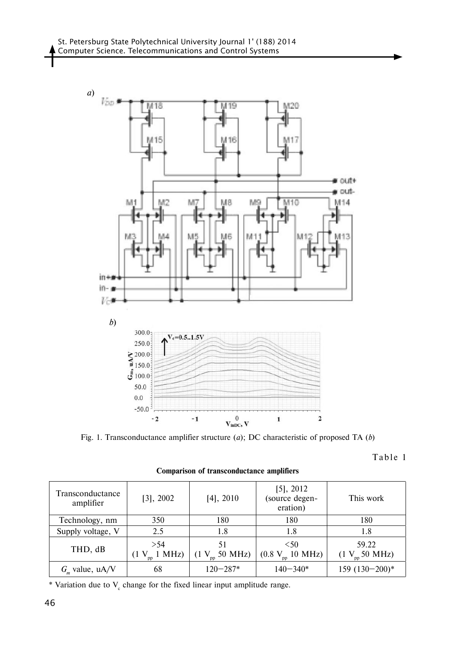

Fig. 1. Transconductance amplifier structure (*a*); DC characteristic of proposed TA (*b*)

Table 1

| Transconductance<br>amplifier | [3], 2002              | $[4]$ , 2010             | $[5]$ , 2012<br>(source degen-<br>eration) | This work                   |
|-------------------------------|------------------------|--------------------------|--------------------------------------------|-----------------------------|
| Technology, nm                | 350                    | 180                      | 180                                        | 180                         |
| Supply voltage, V             | 2.5                    | 1.8                      | 1.8                                        | 1.8                         |
| THD, dB                       | > 54<br>$1$ MHz)<br>(1 | 51<br>$(1 V_{m} 50 MHz)$ | < 50<br>$10$ MHz)<br>(0.8 V)               | 59.22<br>$(1 V_{m} 50 MHz)$ |
| $G_m$ value, uA/V             | 68                     | $120 - 287*$             | $140 - 340*$                               | $159(130-200)*$             |

**Comparison of transconductance amplifiers**

\* Variation due to  $V_c$  change for the fixed linear input amplitude range.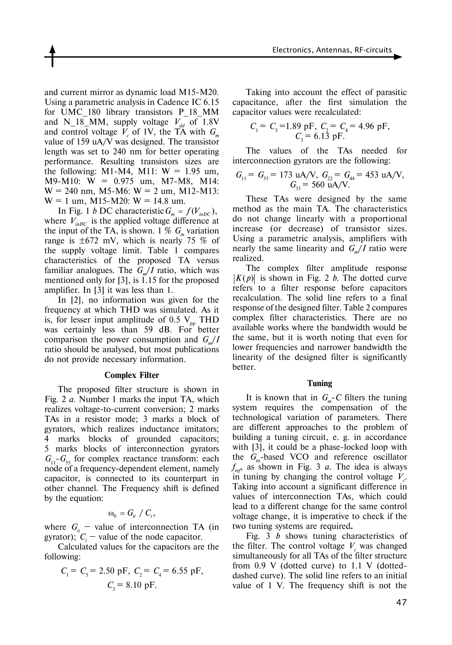and current mirror as dynamic load M15-M20. Using a parametric analysis in Cadence IC 6.15 for UMC\_180 library transistors P\_18\_MM and N\_18\_MM, supply voltage  $V_{dd}$  of 1.8V and control voltage  $V_c$  of 1V, the TA with  $G_m$ value of 159 uA/V was designed. The transistor length was set to 240 nm for better operating performance. Resulting transistors sizes are the following: M1-M4, M11:  $W = 1.95$  um, M9-M10: W = 0.975 um, M7-M8, M14:  $W = 240$  nm, M5-M6:  $W = 2$  um, M12-M13:  $W = 1$  um, M15-M20:  $W = 14.8$  um.

In Fig. 1 *b* DC characteristic  $G_m = f(V_{inDC})$ , where  $V_{inDC}$  is the applied voltage difference at the input of the TA, is shown. 1 %  $G_m$  variation range is  $\pm 672$  mV, which is nearly 75 % of the supply voltage limit. Table 1 compares characteristics of the proposed TA versus familiar analogues. The  $G_m/I$  ratio, which was mentioned only for [3], is 1.15 for the proposed amplifier. In [3] it was less than 1.

In [2], no information was given for the frequency at which THD was simulated. As it is, for lesser input amplitude of 0.5  $V_{\text{pp}}$  THD was certainly less than 59 dB. For better comparison the power consumption and  $G_{m}/I$ ratio should be analysed, but most publications do not provide necessary information.

## **Complex Filter**

The proposed filter structure is shown in Fig. 2 *a*. Number 1 marks the input TA, which realizes voltage-to-current conversion; 2 marks TAs in a resistor mode; 3 marks a block of gyrators, which realizes inductance imitators; 4 marks blocks of grounded capacitors; 5 marks blocks of interconnection gyrators  $G_{11}$ - $G_{55}$  for complex reactance transform: each node of a frequency-dependent element, namely capacitor, is connected to its counterpart in other channel. The Frequency shift is defined by the equation:

$$
\omega_{0} = G_{ii} / C_{i},
$$

where  $G_i$  – value of interconnection TA (in gyrator);  $C_i$  – value of the node capacitor.

Calculated values for the capacitors are the following:

$$
C_1 = C_5 = 2.50 \text{ pF}, C_2 = C_4 = 6.55 \text{ pF},
$$
  
 $C_3 = 8.10 \text{ pF}.$ 

Taking into account the effect of parasitic capacitance, after the first simulation the capacitor values were recalculated:

$$
C_1 = C_5 = 1.89
$$
 pF,  $C_2 = C_4 = 4.96$  pF,  
 $C_3 = 6.13$  pF.

The values of the TAs needed for interconnection gyrators are the following:

$$
G_{11} = G_{55} = 173 \text{ uA/V}, G_{22} = G_{44} = 453 \text{ uA/V},
$$
  

$$
G_{33} = 560 \text{ uA/V}.
$$

These TAs were designed by the same method as the main TA. The characteristics do not change linearly with a proportional increase (or decrease) of transistor sizes. Using a parametric analysis, amplifiers with nearly the same linearity and  $G_{n}/I$  ratio were realized.

The complex filter amplitude response  $|K(p)|$  is shown in Fig. 2 *b*. The dotted curve refers to a filter response before capacitors recalculation. The solid line refers to a final response of the designed filter. Table 2 compares complex filter characteristics. There are no available works where the bandwidth would be the same, but it is worth noting that even for lower frequencies and narrower bandwidth the linearity of the designed filter is significantly better.

#### **Tuning**

It is known that in  $G_{m}$ -*C* filters the tuning system requires the compensation of the technological variation of parameters. There are different approaches to the problem of building a tuning circuit, e. g. in accordance with [3], it could be a phase-locked loop with the  $G_m$ -based VCO and reference oscillator *f ref*, as shown in Fig. 3 *a*. The idea is always in tuning by changing the control voltage  $V_c$ . Taking into account a significant difference in values of interconnection TAs, which could lead to a different change for the same control voltage change, it is imperative to check if the two tuning systems are required**.**

Fig. 3 *b* shows tuning characteristics of the filter. The control voltage  $V_c$  was changed simultaneously for all TAs of the filter structure from 0.9 V (dotted curve) to 1.1 V (dotteddashed curve). The solid line refers to an initial value of 1 V. The frequency shift is not the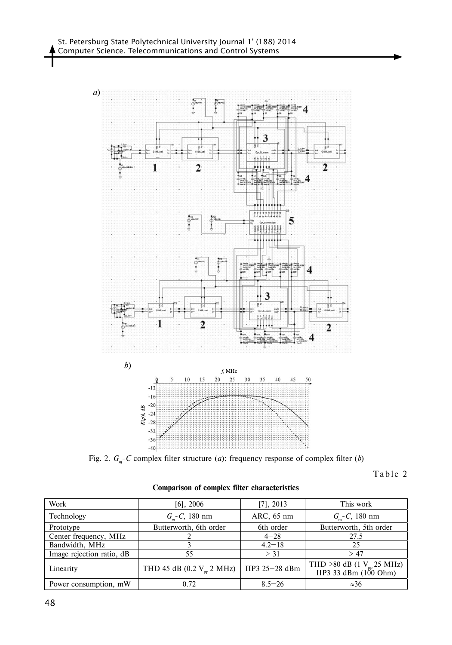

Fig. 2. *Gm*-*C* complex filter structure (*a*); frequency response of complex filter (*b*)

Table 2

| Work                      | $[6]$ , 2006                          | $[7]$ , 2013     | This work                                               |
|---------------------------|---------------------------------------|------------------|---------------------------------------------------------|
| Technology                | $G_{\mu}$ - <i>C</i> , 180 nm         | ARC, 65 nm       | $G_{\rm m}$ - <i>C</i> , 180 nm                         |
| Prototype                 | Butterworth, 6th order                | 6th order        | Butterworth, 5th order                                  |
| Center frequency, MHz     |                                       | $4 - 28$         | 27.5                                                    |
| Bandwidth, MHz            |                                       | $4.2 - 18$       | 25                                                      |
| Image rejection ratio, dB | 55                                    | $>$ 31           | >47                                                     |
| Linearity                 | THD 45 dB (0.2 $V_{\text{pp}}$ 2 MHz) | IIP3 $25-28$ dBm | THD >80 dB (1 $V_{pp}$ 25 MHz)<br>IIP3 33 dBm (100 Ohm) |
| Power consumption, mW     | 0.72                                  | $8.5 - 26$       | $\approx 36$                                            |

**Comparison of complex filter characteristics**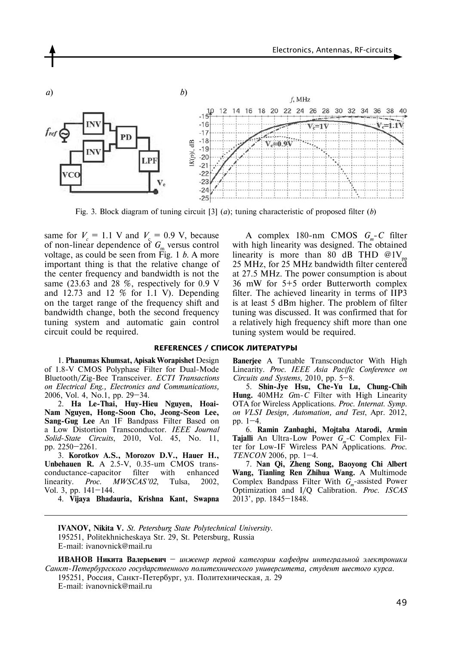

Fig. 3. Block diagram of tuning circuit [3] (*a*); tuning characteristic of proposed filter (*b*)

same for  $V_c = 1.1$  V and  $V_c = 0.9$  V, because of non-linear dependence of  $G<sub>m</sub>$  versus control voltage, as could be seen from Fig. 1 *b*. A more important thing is that the relative change of the center frequency and bandwidth is not the same (23.63 and 28 %, respectively for 0.9 V and  $12.73$  and  $12\%$  for 1.1 V). Depending on the target range of the frequency shift and bandwidth change, both the second frequency tuning system and automatic gain control circuit could be required.

A complex 180-nm CMOS  $G_m$ -C filter with high linearity was designed. The obtained linearity is more than 80 dB THD  $@1V_p$ 25 MHz, for 25 MHz bandwidth filter centered at 27.5 MHz. The power consumption is about 36 mW for 5+5 order Butterworth complex filter. The achieved linearity in terms of IIP3 is at least 5 dBm higher. The problem of filter tuning was discussed. It was confirmed that for a relatively high frequency shift more than one tuning system would be required.

#### **References / СПИСОК ЛИТЕРАТУРЫ**

1. **Phanumas Khumsat, Apisak Worapishet** Design of 1.8-V CMOS Polyphase Filter for Dual-Mode Bluetooth/Zig-Bee Transceiver. *ECTI Transactions on Electrical Eng., Electronics and Communications,* 2006, Vol. 4, No.1, pp. 29–34.

2. **Ha Le-Thai, Huy-Hieu Nguyen, Hoai-Nam Nguyen, Hong-Soon Cho, Jeong-Seon Lee, Sang-Gug Lee** An IF Bandpass Filter Based on a Low Distortion Transconductor. *IEEE Journal Solid*-*State Circuits*, 2010, Vol. 45, No. 11, pp. 2250–2261.

3. **Korotkov A.S., Morozov D.V., Hauer H., Unbehauen R.** A 2.5-V, 0.35-um CMOS transconductance-capacitor filter with enhanced linearity. *Proc. MWSCAS'02*, Tulsa, 2002, Vol. 3, pp. 141–144.

4. **Vijaya Bhadauria, Krishna Kant, Swapna** 

**Banerjee** A Tunable Transconductor With High Linearity. *Proc. IEEE Asia Pacific Conference on Circuits and Systems*, 2010, pp. 5–8.

5. **Shin-Jye Hsu, Che-Yu Lu, Chung-Chih Hung.** 40MHz *G*m-*C* Filter with High Linearity OTA for Wireless Applications. *Proc. Internat. Symp. on VLSI Design, Automation, and Test*, Apr. 2012, pp. 1–4.

6. **Ramin Zanbaghi, Mojtaba Atarodi, Armin Tajalli** An Ultra-Low Power *G<sub>m</sub>*-C Complex Filter for Low-IF Wireless PAN Applications. *Proc. TENCON* 2006, pp. 1–4.

7. **Nan Qi, Zheng Song, Baoyong Chi Albert Wang, Tianling Ren Zhihua Wang.** A Multimode Complex Bandpass Filter With *G<sub>m</sub>*-assisted Power Optimization and I/Q Calibration. *Proc. ISCAS* 2013', pp. 1845–1848.

**IVANOV, Nikita V.** *St. Petersburg State Polytechnical University.* 195251, Politekhnicheskaya Str. 29, St. Petersburg, Russia E-mail: ivanovnick@mail.ru

**ИВАНОВ Никита Валерьевич** – *инженер первой категории кафедры интегральной электроники Санкт-Петербургского государственного политехнического университета, студент шестого курса*.

195251, Россия, Санкт-Петербург, ул. Политехническая, д. 29 E-mail: ivanovnick@mail.ru